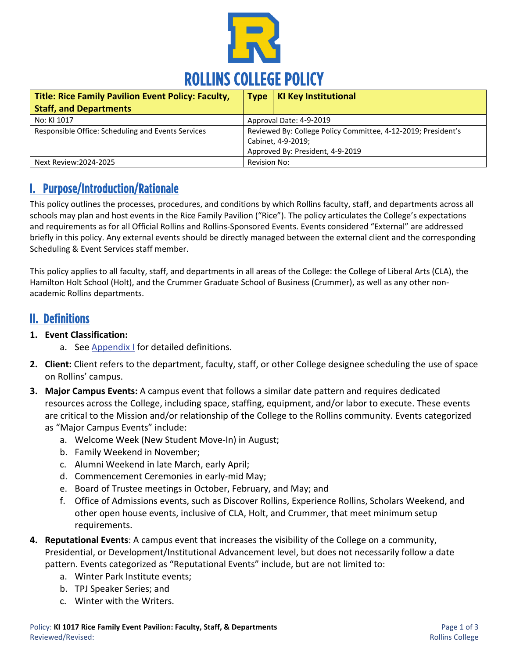

| <b>Title: Rice Family Pavilion Event Policy: Faculty,</b> | <b>Type</b>                                                                                                             | <b>KI Key Institutional</b> |
|-----------------------------------------------------------|-------------------------------------------------------------------------------------------------------------------------|-----------------------------|
| <b>Staff, and Departments</b>                             |                                                                                                                         |                             |
| No: KI 1017                                               | Approval Date: 4-9-2019                                                                                                 |                             |
| Responsible Office: Scheduling and Events Services        | Reviewed By: College Policy Committee, 4-12-2019; President's<br>Cabinet, 4-9-2019;<br>Approved By: President, 4-9-2019 |                             |
| Next Review: 2024-2025                                    | <b>Revision No:</b>                                                                                                     |                             |

### I. Purpose/Introduction/Rationale

This policy outlines the processes, procedures, and conditions by which Rollins faculty, staff, and departments across all schools may plan and host events in the Rice Family Pavilion ("Rice"). The policy articulates the College's expectations and requirements as for all Official Rollins and Rollins-Sponsored Events. Events considered "External" are addressed briefly in this policy. Any external events should be directly managed between the external client and the corresponding Scheduling & Event Services staff member.

This policy applies to all faculty, staff, and departments in all areas of the College: the College of Liberal Arts (CLA), the Hamilton Holt School (Holt), and the Crummer Graduate School of Business (Crummer), as well as any other nonacademic Rollins departments.

#### II. Definitions

- **1. Event Classification:** 
	- a. See [Appendix I](https://www.rollins.edu/scheduling-event-services/documents/event-classification-form.pdf) for detailed definitions.
- **2. Client:** Client refers to the department, faculty, staff, or other College designee scheduling the use of space on Rollins' campus.
- **3. Major Campus Events:** A campus event that follows a similar date pattern and requires dedicated resources across the College, including space, staffing, equipment, and/or labor to execute. These events are critical to the Mission and/or relationship of the College to the Rollins community. Events categorized as "Major Campus Events" include:
	- a. Welcome Week (New Student Move-In) in August;
	- b. Family Weekend in November;
	- c. Alumni Weekend in late March, early April;
	- d. Commencement Ceremonies in early-mid May;
	- e. Board of Trustee meetings in October, February, and May; and
	- f. Office of Admissions events, such as Discover Rollins, Experience Rollins, Scholars Weekend, and other open house events, inclusive of CLA, Holt, and Crummer, that meet minimum setup requirements.
- **4. Reputational Events**: A campus event that increases the visibility of the College on a community, Presidential, or Development/Institutional Advancement level, but does not necessarily follow a date pattern. Events categorized as "Reputational Events" include, but are not limited to:
	- a. Winter Park Institute events;
	- b. TPJ Speaker Series; and
	- c. Winter with the Writers.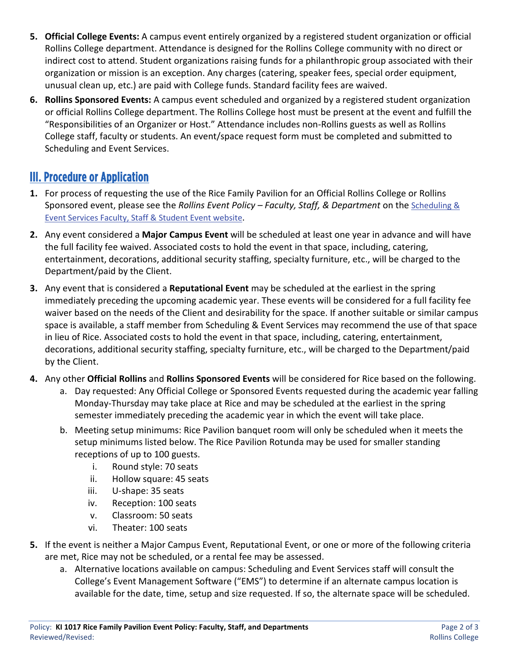- **5. Official College Events:** A campus event entirely organized by a registered student organization or official Rollins College department. Attendance is designed for the Rollins College community with no direct or indirect cost to attend. Student organizations raising funds for a philanthropic group associated with their organization or mission is an exception. Any charges (catering, speaker fees, special order equipment, unusual clean up, etc.) are paid with College funds. Standard facility fees are waived.
- **6. Rollins Sponsored Events:** A campus event scheduled and organized by a registered student organization or official Rollins College department. The Rollins College host must be present at the event and fulfill the "Responsibilities of an Organizer or Host." Attendance includes non-Rollins guests as well as Rollins College staff, faculty or students. An event/space request form must be completed and submitted to Scheduling and Event Services.

## III. Procedure or Application

- **1.** For process of requesting the use of the Rice Family Pavilion for an Official Rollins College or Rollins Sponsored event, please see the *Rollins Event Policy – Faculty, Staff, & Department* on the [Scheduling &](https://www.rollins.edu/scheduling-event-services/faculty-staff-student-events/index.html)  [Event Services Faculty, Staff & Student Event website.](https://www.rollins.edu/scheduling-event-services/faculty-staff-student-events/index.html)
- **2.** Any event considered a **Major Campus Event** will be scheduled at least one year in advance and will have the full facility fee waived. Associated costs to hold the event in that space, including, catering, entertainment, decorations, additional security staffing, specialty furniture, etc., will be charged to the Department/paid by the Client.
- **3.** Any event that is considered a **Reputational Event** may be scheduled at the earliest in the spring immediately preceding the upcoming academic year. These events will be considered for a full facility fee waiver based on the needs of the Client and desirability for the space. If another suitable or similar campus space is available, a staff member from Scheduling & Event Services may recommend the use of that space in lieu of Rice. Associated costs to hold the event in that space, including, catering, entertainment, decorations, additional security staffing, specialty furniture, etc., will be charged to the Department/paid by the Client.
- **4.** Any other **Official Rollins** and **Rollins Sponsored Events** will be considered for Rice based on the following.
	- a. Day requested: Any Official College or Sponsored Events requested during the academic year falling Monday-Thursday may take place at Rice and may be scheduled at the earliest in the spring semester immediately preceding the academic year in which the event will take place.
	- b. Meeting setup minimums: Rice Pavilion banquet room will only be scheduled when it meets the setup minimums listed below. The Rice Pavilion Rotunda may be used for smaller standing receptions of up to 100 guests.
		- i. Round style: 70 seats
		- ii. Hollow square: 45 seats
		- iii. U-shape: 35 seats
		- iv. Reception: 100 seats
		- v. Classroom: 50 seats
		- vi. Theater: 100 seats
- **5.** If the event is neither a Major Campus Event, Reputational Event, or one or more of the following criteria are met, Rice may not be scheduled, or a rental fee may be assessed.
	- a. Alternative locations available on campus: Scheduling and Event Services staff will consult the College's Event Management Software ("EMS") to determine if an alternate campus location is available for the date, time, setup and size requested. If so, the alternate space will be scheduled.